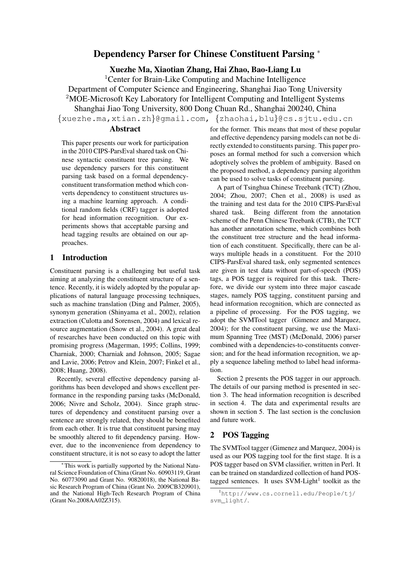# Dependency Parser for Chinese Constituent Parsing <sup>∗</sup>

Xuezhe Ma, Xiaotian Zhang, Hai Zhao, Bao-Liang Lu

<sup>1</sup>Center for Brain-Like Computing and Machine Intelligence

Department of Computer Science and Engineering, Shanghai Jiao Tong University <sup>2</sup>MOE-Microsoft Key Laboratory for Intelligent Computing and Intelligent Systems

Shanghai Jiao Tong University, 800 Dong Chuan Rd., Shanghai 200240, China

{xuezhe.ma,xtian.zh}@gmail.com, {zhaohai,blu}@cs.sjtu.edu.cn

### Abstract

This paper presents our work for participation in the 2010 CIPS-ParsEval shared task on Chinese syntactic constituent tree parsing. We use dependency parsers for this constituent parsing task based on a formal dependencyconstituent transformation method which converts dependency to constituent structures using a machine learning approach. A conditional random fields (CRF) tagger is adopted for head information recognition. Our experiments shows that acceptable parsing and head tagging results are obtained on our approaches.

# 1 Introduction

Constituent parsing is a challenging but useful task aiming at analyzing the constituent structure of a sentence. Recently, it is widely adopted by the popular applications of natural language processing techniques, such as machine translation (Ding and Palmer, 2005), synonym generation (Shinyama et al., 2002), relation extraction (Culotta and Sorensen, 2004) and lexical resource augmentation (Snow et al., 2004). A great deal of researches have been conducted on this topic with promising progress (Magerman, 1995; Collins, 1999; Charniak, 2000; Charniak and Johnson, 2005; Sagae and Lavie, 2006; Petrov and Klein, 2007; Finkel et al., 2008; Huang, 2008).

Recently, several effective dependency parsing algorithms has been developed and shows excellent performance in the responding parsing tasks (McDonald, 2006; Nivre and Scholz, 2004). Since graph structures of dependency and constituent parsing over a sentence are strongly related, they should be benefited from each other. It is true that constituent parsing may be smoothly altered to fit dependency parsing. However, due to the inconvenience from dependency to constituent structure, it is not so easy to adopt the latter

for the former. This means that most of these popular and effective dependency parsing models can not be directly extended to constituents parsing. This paper proposes an formal method for such a conversion which adoptively solves the problem of ambiguity. Based on the proposed method, a dependency parsing algorithm can be used to solve tasks of constituent parsing.

A part of Tsinghua Chinese Treebank (TCT) (Zhou, 2004; Zhou, 2007; Chen et al., 2008) is used as the training and test data for the 2010 CIPS-ParsEval shared task. Being different from the annotation scheme of the Penn Chinese Treebank (CTB), the TCT has another annotation scheme, which combines both the constituent tree structure and the head information of each constituent. Specifically, there can be always multiple heads in a constituent. For the 2010 CIPS-ParsEval shared task, only segmented sentences are given in test data without part-of-speech (POS) tags, a POS tagger is required for this task. Therefore, we divide our system into three major cascade stages, namely POS tagging, constituent parsing and head information recognition, which are connected as a pipeline of processing. For the POS tagging, we adopt the SVMTool tagger (Gimenez and Marquez, 2004); for the constituent parsing, we use the Maximum Spanning Tree (MST) (McDonald, 2006) parser combined with a dependencies-to-constituents conversion; and for the head information recognition, we apply a sequence labeling method to label head information.

Section 2 presents the POS tagger in our approach. The details of our parsing method is presented in section 3. The head information recognition is described in section 4. The data and experimental results are shown in section 5. The last section is the conclusion and future work.

# 2 POS Tagging

The SVMTool tagger (Gimenez and Marquez, 2004) is used as our POS tagging tool for the first stage. It is a POS tagger based on SVM classifier, written in Perl. It can be trained on standardized collection of hand POStagged sentences. It uses  $SVM$ -Light<sup>1</sup> toolkit as the

This work is partially supported by the National Natural Science Foundation of China (Grant No. 60903119, Grant No. 60773090 and Grant No. 90820018), the National Basic Research Program of China (Grant No. 2009CB320901), and the National High-Tech Research Program of China (Grant No.2008AA02Z315).

<sup>1</sup>http://www.cs.cornell.edu/People/tj/ svm\_light/.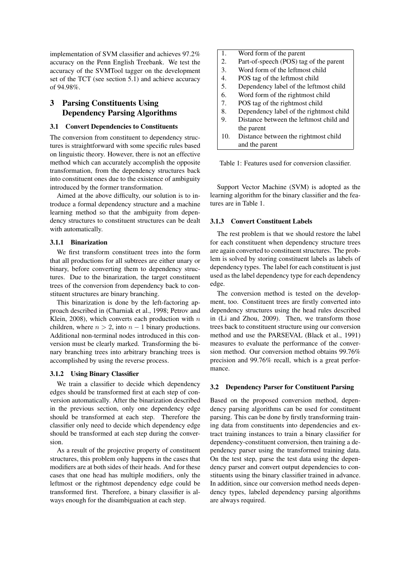implementation of SVM classifier and achieves 97.2% accuracy on the Penn English Treebank. We test the accuracy of the SVMTool tagger on the development set of the TCT (see section 5.1) and achieve accuracy of 94.98%.

# 3 Parsing Constituents Using Dependency Parsing Algorithms

#### 3.1 Convert Dependencies to Constituents

The conversion from constituent to dependency structures is straightforward with some specific rules based on linguistic theory. However, there is not an effective method which can accurately accomplish the opposite transformation, from the dependency structures back into constituent ones due to the existence of ambiguity introduced by the former transformation.

Aimed at the above difficulty, our solution is to introduce a formal dependency structure and a machine learning method so that the ambiguity from dependency structures to constituent structures can be dealt with automatically.

#### 3.1.1 Binarization

We first transform constituent trees into the form that all productions for all subtrees are either unary or binary, before converting them to dependency structures. Due to the binarization, the target constituent trees of the conversion from dependency back to constituent structures are binary branching.

This binarization is done by the left-factoring approach described in (Charniak et al., 1998; Petrov and Klein, 2008), which converts each production with  $n$ children, where  $n > 2$ , into  $n - 1$  binary productions. Additional non-terminal nodes introduced in this conversion must be clearly marked. Transforming the binary branching trees into arbitrary branching trees is accomplished by using the reverse process.

#### 3.1.2 Using Binary Classifier

We train a classifier to decide which dependency edges should be transformed first at each step of conversion automatically. After the binarization described in the previous section, only one dependency edge should be transformed at each step. Therefore the classifier only need to decide which dependency edge should be transformed at each step during the conversion.

As a result of the projective property of constituent structures, this problem only happens in the cases that modifiers are at both sides of their heads. And for these cases that one head has multiple modifiers, only the leftmost or the rightmost dependency edge could be transformed first. Therefore, a binary classifier is always enough for the disambiguation at each step.

| 1.  | Word form of the parent                 |  |
|-----|-----------------------------------------|--|
| 2.  | Part-of-speech (POS) tag of the parent  |  |
| 3.  | Word form of the leftmost child         |  |
| 4.  | POS tag of the leftmost child           |  |
| 5.  | Dependency label of the leftmost child  |  |
| 6.  | Word form of the rightmost child        |  |
| 7.  | POS tag of the rightmost child          |  |
| 8.  | Dependency label of the rightmost child |  |
| 9.  | Distance between the leftmost child and |  |
|     | the parent                              |  |
| 10. | Distance between the rightmost child    |  |
|     | and the parent                          |  |

Table 1: Features used for conversion classifier.

Support Vector Machine (SVM) is adopted as the learning algorithm for the binary classifier and the features are in Table 1.

#### 3.1.3 Convert Constituent Labels

The rest problem is that we should restore the label for each constituent when dependency structure trees are again converted to constituent structures. The problem is solved by storing constituent labels as labels of dependency types. The label for each constituent is just used as the label dependency type for each dependency edge.

The conversion method is tested on the development, too. Constituent trees are firstly converted into dependency structures using the head rules described in (Li and Zhou, 2009). Then, we transform those trees back to constituent structure using our conversion method and use the PARSEVAL (Black et al., 1991) measures to evaluate the performance of the conversion method. Our conversion method obtains 99.76% precision and 99.76% recall, which is a great performance.

#### 3.2 Dependency Parser for Constituent Parsing

Based on the proposed conversion method, dependency parsing algorithms can be used for constituent parsing. This can be done by firstly transforming training data from constituents into dependencies and extract training instances to train a binary classifier for dependency-constituent conversion, then training a dependency parser using the transformed training data. On the test step, parse the test data using the dependency parser and convert output dependencies to constituents using the binary classifier trained in advance. In addition, since our conversion method needs dependency types, labeled dependency parsing algorithms are always required.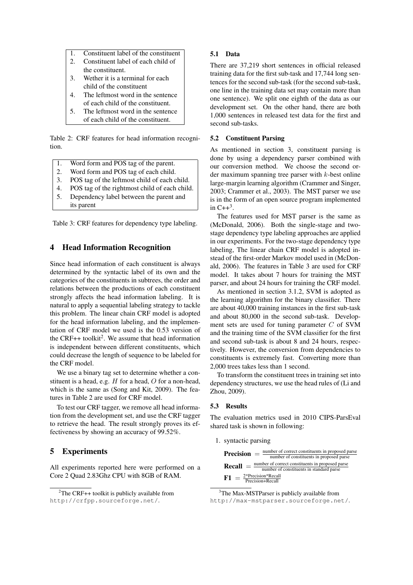- 1. Constituent label of the constituent
- 2. Constituent label of each child of the constituent.
- 3. Wether it is a terminal for each child of the constituent
- 4. The leftmost word in the sentence of each child of the constituent.
- 5. The leftmost word in the sentence of each child of the constituent.

Table 2: CRF features for head information recognition.

- 1. Word form and POS tag of the parent.
- 2. Word form and POS tag of each child.
- 3. POS tag of the leftmost child of each child.
- 4. POS tag of the rightmost child of each child.
- 5. Dependency label between the parent and its parent

Table 3: CRF features for dependency type labeling.

# 4 Head Information Recognition

Since head information of each constituent is always determined by the syntactic label of its own and the categories of the constituents in subtrees, the order and relations between the productions of each constituent strongly affects the head information labeling. It is natural to apply a sequential labeling strategy to tackle this problem. The linear chain CRF model is adopted for the head information labeling, and the implementation of CRF model we used is the 0.53 version of the CRF++ toolkit<sup>2</sup>. We assume that head information is independent between different constituents, which could decrease the length of sequence to be labeled for the CRF model.

We use a binary tag set to determine whether a constituent is a head, e.g.  $H$  for a head,  $O$  for a non-head, which is the same as (Song and Kit, 2009). The features in Table 2 are used for CRF model.

To test our CRF tagger, we remove all head information from the development set, and use the CRF tagger to retrieve the head. The result strongly proves its effectiveness by showing an accuracy of 99.52%.

## 5 Experiments

All experiments reported here were performed on a Core 2 Quad 2.83Ghz CPU with 8GB of RAM.

#### 5.1 Data

There are 37,219 short sentences in official released training data for the first sub-task and 17,744 long sentences for the second sub-task (for the second sub-task, one line in the training data set may contain more than one sentence). We split one eighth of the data as our development set. On the other hand, there are both 1,000 sentences in released test data for the first and second sub-tasks.

### 5.2 Constituent Parsing

As mentioned in section 3, constituent parsing is done by using a dependency parser combined with our conversion method. We choose the second order maximum spanning tree parser with k-best online large-margin learning algorithm (Crammer and Singer, 2003; Crammer et al., 2003). The MST parser we use is in the form of an open source program implemented in  $C++^3$ .

The features used for MST parser is the same as (McDonald, 2006). Both the single-stage and twostage dependency type labeling approaches are applied in our experiments. For the two-stage dependency type labeling, The linear chain CRF model is adopted instead of the first-order Markov model used in (McDonald, 2006). The features in Table 3 are used for CRF model. It takes about 7 hours for training the MST parser, and about 24 hours for training the CRF model.

As mentioned in section 3.1.2, SVM is adopted as the learning algorithm for the binary classifier. There are about 40,000 training instances in the first sub-task and about 80,000 in the second sub-task. Development sets are used for tuning parameter C of SVM and the training time of the SVM classifier for the first and second sub-task is about 8 and 24 hours, respectively. However, the conversion from dependencies to constituents is extremely fast. Converting more than 2,000 trees takes less than 1 second.

To transform the constituent trees in training set into dependency structures, we use the head rules of (Li and Zhou, 2009).

### 5.3 Results

The evaluation metrics used in 2010 CIPS-ParsEval shared task is shown in following:

1. syntactic parsing



<sup>3</sup>The Max-MSTParser is publicly available from http://max-mstparser.sourceforge.net/.

 ${}^{2}$ The CRF++ toolkit is publicly available from http://crfpp.sourceforge.net/.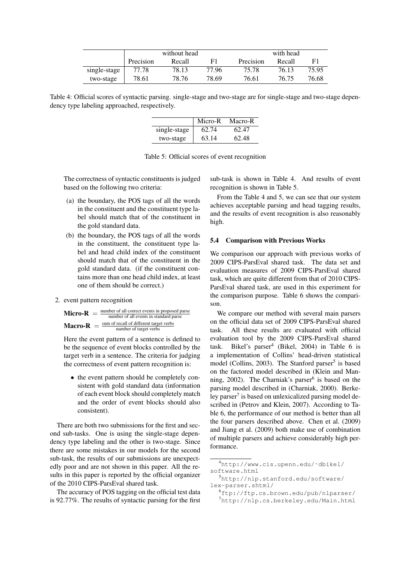|              | without head |        |       | with head |        |       |
|--------------|--------------|--------|-------|-----------|--------|-------|
|              | Precision    | Recall | F1    | Precision | Recall | F1    |
| single-stage | 77.78        | 78.13  | 77.96 | 75.78     | 76.13  | 75.95 |
| two-stage    | 78.61        | 78.76  | 78.69 | 76.61     | 76.75  | 76.68 |

Table 4: Official scores of syntactic parsing. single-stage and two-stage are for single-stage and two-stage dependency type labeling approached, respectively.

|              | Micro-R | Macro-R |
|--------------|---------|---------|
| single-stage | 62.74   | 62.47   |
| two-stage    | 63.14   | 62.48   |

Table 5: Official scores of event recognition

The correctness of syntactic constituents is judged based on the following two criteria:

- (a) the boundary, the POS tags of all the words in the constituent and the constituent type label should match that of the constituent in the gold standard data.
- (b) the boundary, the POS tags of all the words in the constituent, the constituent type label and head child index of the constituent should match that of the constituent in the gold standard data. (if the constituent contains more than one head child index, at least one of them should be correct.)
- 2. event pattern recognition

**Micro-R** = 
$$
\frac{\text{number of all correct events in proposed parse}}{\text{number of all events in standard parse}}
$$
  
**Macro-R** = 
$$
\frac{\text{sum of recall of different target verbs}}{\text{number of target verbs}}
$$

Here the event pattern of a sentence is defined to be the sequence of event blocks controlled by the target verb in a sentence. The criteria for judging the correctness of event pattern recognition is:

• the event pattern should be completely consistent with gold standard data (information of each event block should completely match and the order of event blocks should also consistent).

There are both two submissions for the first and second sub-tasks. One is using the single-stage dependency type labeling and the other is two-stage. Since there are some mistakes in our models for the second sub-task, the results of our submissions are unexpectedly poor and are not shown in this paper. All the results in this paper is reported by the official organizer of the 2010 CIPS-ParsEval shared task.

The accuracy of POS tagging on the official test data is 92.77%. The results of syntactic parsing for the first

sub-task is shown in Table 4. And results of event recognition is shown in Table 5.

From the Table 4 and 5, we can see that our system achieves acceptable parsing and head tagging results, and the results of event recognition is also reasonably high.

#### 5.4 Comparison with Previous Works

We comparison our approach with previous works of 2009 CIPS-ParsEval shared task. The data set and evaluation measures of 2009 CIPS-ParsEval shared task, which are quite different from that of 2010 CIPS-ParsEval shared task, are used in this experiment for the comparison purpose. Table 6 shows the comparison.

We compare our method with several main parsers on the official data set of 2009 CIPS-ParsEval shared task. All these results are evaluated with official evaluation tool by the 2009 CIPS-ParsEval shared task. Bikel's parser<sup>4</sup> (Bikel, 2004) in Table 6 is a implementation of Collins' head-driven statistical model (Collins, 2003). The Stanford parser<sup>5</sup> is based on the factored model described in (Klein and Manning, 2002). The Charniak's parser<sup>6</sup> is based on the parsing model described in (Charniak, 2000). Berkeley parser<sup>7</sup> is based on unlexicalized parsing model described in (Petrov and Klein, 2007). According to Table 6, the performance of our method is better than all the four parsers described above. Chen et al. (2009) and Jiang et al. (2009) both make use of combination of multiple parsers and achieve considerably high performance.

<sup>4</sup>http://www.cis.upenn.edu/˜dbikel/ software.html

<sup>5</sup>http://nlp.stanford.edu/software/ lex-parser.shtml/

 $^{6}$ ftp://ftp.cs.brown.edu/pub/nlparser/ <sup>7</sup>http://nlp.cs.berkeley.edu/Main.html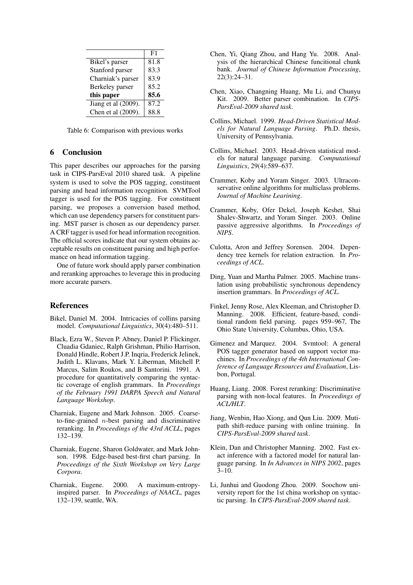|                     | F1   |
|---------------------|------|
| Bikel's parser      | 81.8 |
| Stanford parser     | 83.3 |
| Charniak's parser   | 83.9 |
| Berkeley parser     | 85.2 |
| this paper          | 85.6 |
| Jiang et al (2009). | 87.2 |
| Chen et al (2009).  | 88.8 |

Table 6: Comparison with previous works

### 6 Conclusion

This paper describes our approaches for the parsing task in CIPS-ParsEval 2010 shared task. A pipeline system is used to solve the POS tagging, constituent parsing and head information recognition. SVMTool tagger is used for the POS tagging. For constituent parsing, we proposes a conversion based method, which can use dependency parsers for constituent parsing. MST parser is chosen as our dependency parser. A CRF tagger is used for head information recognition. The official scores indicate that our system obtains acceptable results on constituent parsing and high performance on head information tagging.

One of future work should apply parser combination and reranking approaches to leverage this in producing more accurate parsers.

#### References

- Bikel, Daniel M. 2004. Intricacies of collins parsing model. *Computational Linguistics*, 30(4):480–511.
- Black, Ezra W., Steven P. Abney, Daniel P. Flickinger, Cluadia Gdaniec, Ralph Grishman, Philio Harrison, Donald Hindle, Robert J.P. Inqria, Frederick Jelinek, Judith L. Klavans, Mark Y. Liberman, Mitchell P. Marcus, Salim Roukos, and B Santorini. 1991. A procedure for quantitatively comparing the syntactic coverage of english grammars. In *Proceedings of the February 1991 DARPA Speech and Natural Language Workshop*.
- Charniak, Eugene and Mark Johnson. 2005. Coarseto-fine-grained  $n$ -best parsing and discriminative reranking. In *Proceedings of the 43rd ACLL*, pages 132–139.
- Charniak, Eugene, Sharon Goldwater, and Mark Johnson. 1998. Edge-based best-first chart parsing. In *Proceedings of the Sixth Workshop on Very Large Corpora*.
- Charniak, Eugene. 2000. A maximum-entropyinspired parser. In *Proceedings of NAACL*, pages 132–139, seattle, WA.
- Chen, Yi, Qiang Zhou, and Hang Yu. 2008. Analysis of the hierarchical Chinese funcitional chunk bank. *Journal of Chinese Information Processing*, 22(3):24–31.
- Chen, Xiao, Changning Huang, Mu Li, and Chunyu Kit. 2009. Better parser combination. In *CIPS-ParsEval-2009 shared task*.
- Collins, Michael. 1999. *Head-Driven Statistical Models for Natural Language Parsing*. Ph.D. thesis, University of Pennsylvania.
- Collins, Michael. 2003. Head-driven statistical models for natural language parsing. *Computational Linguistics*, 29(4):589–637.
- Crammer, Koby and Yoram Singer. 2003. Ultraconservative online algorithms for multiclass problems. *Journal of Machine Learining*.
- Crammer, Koby, Ofer Dekel, Joseph Keshet, Shai Shalev-Shwartz, and Yoram Singer. 2003. Online passive aggressive algorithms. In *Proceedings of NIPS*.
- Culotta, Aron and Jeffrey Sorensen. 2004. Dependency tree kernels for relation extraction. In *Proceedings of ACL*.
- Ding, Yuan and Martha Palmer. 2005. Machine translation using probabilistic synchronous dependency insertion grammars. In *Proceedings of ACL*.
- Finkel, Jenny Rose, Alex Kleeman, and Christopher D. Manning. 2008. Efficient, feature-based, conditional random field parsing. pages 959–967, The Ohio State University, Columbus, Ohio, USA.
- Gimenez and Marquez. 2004. Svmtool: A general POS tagger generator based on support vector machines. In *Proceedings of the 4th International Conference of Language Resources and Evaluation*, Lisbon, Portugal.
- Huang, Liang. 2008. Forest reranking: Discriminative parsing with non-local features. In *Proceedings of ACL/HLT*.
- Jiang, Wenbin, Hao Xiong, and Qun Liu. 2009. Mutipath shift-reduce parsing with online training. In *CIPS-ParsEval-2009 shared task*.
- Klein, Dan and Christopher Manning. 2002. Fast exact inference with a factored model for natural language parsing. In *In Advances in NIPS 2002*, pages 3–10.
- Li, Junhui and Guodong Zhou. 2009. Soochow university report for the 1st china workshop on syntactic parsing. In *CIPS-ParsEval-2009 shared task*.